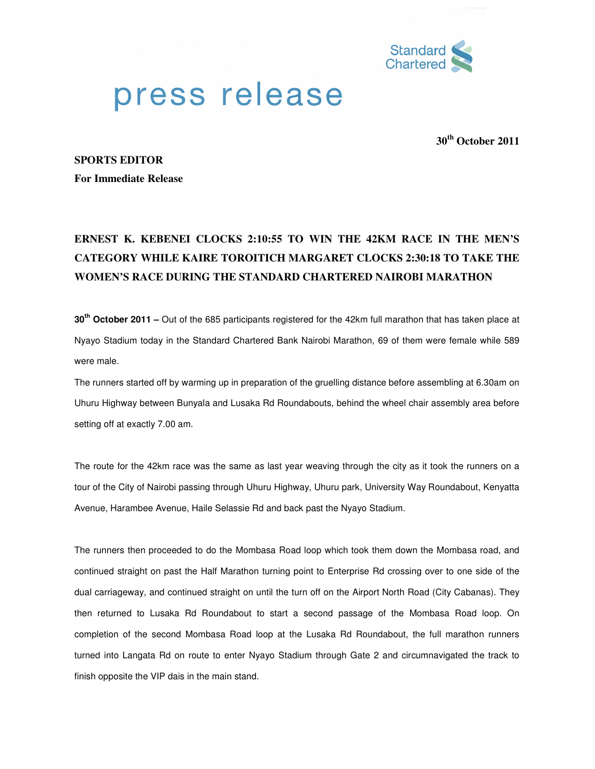

## press release

**30th October 2011**

## **SPORTS EDITOR**

**For Immediate Release** 

## **ERNEST K. KEBENEI CLOCKS 2:10:55 TO WIN THE 42KM RACE IN THE MEN'S CATEGORY WHILE KAIRE TOROITICH MARGARET CLOCKS 2:30:18 TO TAKE THE WOMEN'S RACE DURING THE STANDARD CHARTERED NAIROBI MARATHON**

**30th October 2011 –** Out of the 685 participants registered for the 42km full marathon that has taken place at Nyayo Stadium today in the Standard Chartered Bank Nairobi Marathon, 69 of them were female while 589 were male.

The runners started off by warming up in preparation of the gruelling distance before assembling at 6.30am on Uhuru Highway between Bunyala and Lusaka Rd Roundabouts, behind the wheel chair assembly area before setting off at exactly 7.00 am.

The route for the 42km race was the same as last year weaving through the city as it took the runners on a tour of the City of Nairobi passing through Uhuru Highway, Uhuru park, University Way Roundabout, Kenyatta Avenue, Harambee Avenue, Haile Selassie Rd and back past the Nyayo Stadium.

The runners then proceeded to do the Mombasa Road loop which took them down the Mombasa road, and continued straight on past the Half Marathon turning point to Enterprise Rd crossing over to one side of the dual carriageway, and continued straight on until the turn off on the Airport North Road (City Cabanas). They then returned to Lusaka Rd Roundabout to start a second passage of the Mombasa Road loop. On completion of the second Mombasa Road loop at the Lusaka Rd Roundabout, the full marathon runners turned into Langata Rd on route to enter Nyayo Stadium through Gate 2 and circumnavigated the track to finish opposite the VIP dais in the main stand.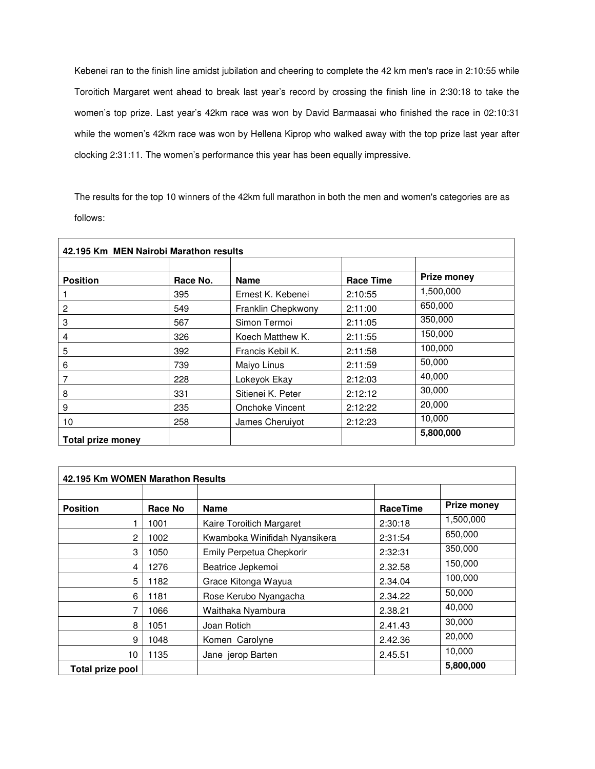Kebenei ran to the finish line amidst jubilation and cheering to complete the 42 km men's race in 2:10:55 while Toroitich Margaret went ahead to break last year's record by crossing the finish line in 2:30:18 to take the women's top prize. Last year's 42km race was won by David Barmaasai who finished the race in 02:10:31 while the women's 42km race was won by Hellena Kiprop who walked away with the top prize last year after clocking 2:31:11. The women's performance this year has been equally impressive.

The results for the top 10 winners of the 42km full marathon in both the men and women's categories are as follows:

| 42.195 Km MEN Nairobi Marathon results |          |                    |                  |                    |  |  |  |
|----------------------------------------|----------|--------------------|------------------|--------------------|--|--|--|
|                                        |          |                    |                  |                    |  |  |  |
| <b>Position</b>                        | Race No. | <b>Name</b>        | <b>Race Time</b> | <b>Prize money</b> |  |  |  |
|                                        | 395      | Ernest K. Kebenei  | 2:10:55          | 1,500,000          |  |  |  |
| 2                                      | 549      | Franklin Chepkwony | 2:11:00          | 650,000            |  |  |  |
| 3                                      | 567      | Simon Termoi       | 2:11:05          | 350,000            |  |  |  |
| 4                                      | 326      | Koech Matthew K.   | 2:11:55          | 150,000            |  |  |  |
| 5                                      | 392      | Francis Kebil K.   | 2:11:58          | 100,000            |  |  |  |
| 6                                      | 739      | Maiyo Linus        | 2:11:59          | 50,000             |  |  |  |
| 7                                      | 228      | Lokeyok Ekay       | 2:12:03          | 40,000             |  |  |  |
| 8                                      | 331      | Sitienei K. Peter  | 2:12:12          | 30,000             |  |  |  |
| 9                                      | 235      | Onchoke Vincent    | 2:12:22          | 20,000             |  |  |  |
| 10                                     | 258      | James Cheruiyot    | 2:12:23          | 10,000             |  |  |  |
| Total prize money                      |          |                    |                  | 5,800,000          |  |  |  |

| 42.195 Km WOMEN Marathon Results |         |                               |                 |                    |  |  |
|----------------------------------|---------|-------------------------------|-----------------|--------------------|--|--|
|                                  |         |                               |                 |                    |  |  |
| <b>Position</b>                  | Race No | <b>Name</b>                   | <b>RaceTime</b> | <b>Prize money</b> |  |  |
|                                  | 1001    | Kaire Toroitich Margaret      | 2:30:18         | 1,500,000          |  |  |
| 2                                | 1002    | Kwamboka Winifidah Nyansikera | 2:31:54         | 650,000            |  |  |
| 3                                | 1050    | Emily Perpetua Chepkorir      | 2:32:31         | 350,000            |  |  |
| 4                                | 1276    | Beatrice Jepkemoi             | 2.32.58         | 150,000            |  |  |
| 5                                | 1182    | Grace Kitonga Wayua           | 2.34.04         | 100,000            |  |  |
| 6                                | 1181    | Rose Kerubo Nyangacha         | 2.34.22         | 50,000             |  |  |
|                                  | 1066    | Waithaka Nyambura             | 2.38.21         | 40,000             |  |  |
| 8                                | 1051    | Joan Rotich                   | 2.41.43         | 30,000             |  |  |
| 9                                | 1048    | Komen Carolyne                | 2.42.36         | 20,000             |  |  |
| 10                               | 1135    | Jane jerop Barten             | 2.45.51         | 10,000             |  |  |
| Total prize pool                 |         |                               |                 | 5,800,000          |  |  |